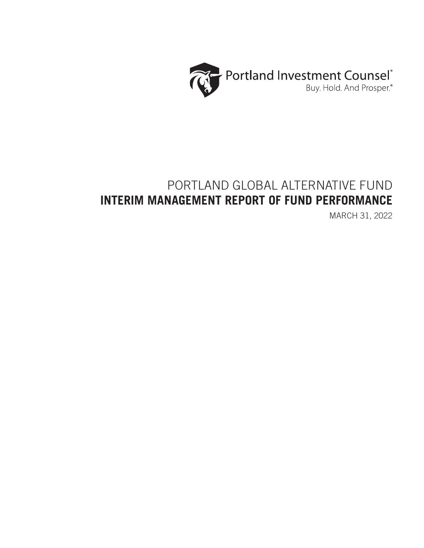

# PORTLAND GLOBAL ALTERNATIVE FUND **INTERIM MANAGEMENT REPORT OF FUND PERFORMANCE**

MARCH 31, 2022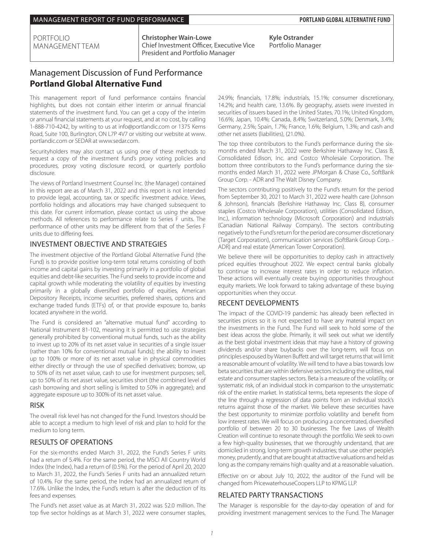PORTFOLIO MANAGEMENT TEAM **Christopher Wain-Lowe** Chief Investment Officer, Executive Vice President and Portfolio Manager

**Kyle Ostrander** Portfolio Manager

# Management Discussion of Fund Performance **Portland Global Alternative Fund**

This management report of fund performance contains financial highlights, but does not contain either interim or annual financial statements of the investment fund. You can get a copy of the interim or annual financial statements at your request, and at no cost, by calling 1-888-710-4242, by writing to us at info@portlandic.com or 1375 Kerns Road, Suite 100, Burlington, ON L7P 4V7 or visiting our website at www. portlandic.com or SEDAR at www.sedar.com.

Securityholders may also contact us using one of these methods to request a copy of the investment fund's proxy voting policies and procedures, proxy voting disclosure record, or quarterly portfolio disclosure.

The views of Portland Investment Counsel Inc. (the Manager) contained in this report are as of March 31, 2022 and this report is not intended to provide legal, accounting, tax or specific investment advice. Views, portfolio holdings and allocations may have changed subsequent to this date. For current information, please contact us using the above methods. All references to performance relate to Series F units. The performance of other units may be different from that of the Series F units due to differing fees.

### INVESTMENT OBJECTIVE AND STRATEGIES

The investment objective of the Portland Global Alternative Fund (the Fund) is to provide positive long-term total returns consisting of both income and capital gains by investing primarily in a portfolio of global equities and debt-like securities. The Fund seeks to provide income and capital growth while moderating the volatility of equities by investing primarily in a globally diversified portfolio of equities, American Depository Receipts, income securities, preferred shares, options and exchange traded funds (ETFs) of, or that provide exposure to, banks located anywhere in the world.

The Fund is considered an "alternative mutual fund" according to National Instrument 81-102, meaning it is permitted to use strategies generally prohibited by conventional mutual funds, such as the ability to invest up to 20% of its net asset value in securities of a single issuer (rather than 10% for conventional mutual funds); the ability to invest up to 100% or more of its net asset value in physical commodities either directly or through the use of specified derivatives; borrow, up to 50% of its net asset value, cash to use for investment purposes; sell, up to 50% of its net asset value, securities short (the combined level of cash borrowing and short selling is limited to 50% in aggregate); and aggregate exposure up to 300% of its net asset value.

## RISK

The overall risk level has not changed for the Fund. Investors should be able to accept a medium to high level of risk and plan to hold for the medium to long term.

## RESULTS OF OPERATIONS

For the six-months ended March 31, 2022, the Fund's Series F units had a return of 5.4%. For the same period, the MSCI All Country World Index (the Index), had a return of (0.5%). For the period of April 20, 2020 to March 31, 2022, the Fund's Series F units had an annualized return of 10.4%. For the same period, the Index had an annualized return of 17.6%. Unlike the Index, the Fund's return is after the deduction of its fees and expenses.

The Fund's net asset value as at March 31, 2022 was \$2.0 million. The top five sector holdings as at March 31, 2022 were consumer staples,

24.9%; financials, 17.8%; industrials, 15.1%; consumer discretionary, 14.2%; and health care, 13.6%. By geography, assets were invested in securities of issuers based in the United States, 70.1%; United Kingdom, 16.6%; Japan, 10.4%; Canada, 8.4%; Switzerland, 5.0%; Denmark, 3.4%; Germany, 2.5%; Spain, 1.7%; France, 1.6%; Belgium, 1.3%; and cash and other net assets (liabilities), (21.0%).

The top three contributors to the Fund's performance during the sixmonths ended March 31, 2022 were Berkshire Hathaway Inc. Class B, Consolidated Edison, Inc. and Costco Wholesale Corporation. The bottom three contributors to the Fund's performance during the sixmonths ended March 31, 2022 were JPMorgan & Chase Co., SoftBank Group Corp. - ADR and The Walt Disney Company.

The sectors contributing positively to the Fund's return for the period from September 30, 2021 to March 31, 2022 were health care (Johnson & Johnson), financials (Berkshire Hathaway Inc. Class B), consumer staples (Costco Wholesale Corporation), utilities (Consolidated Edison, Inc.), information technology (Microsoft Corporation) and industrials (Canadian National Railway Company). The sectors contributing negatively to the Fund's return for the period are consumer discretionary (Target Corporation), communication services (SoftBank Group Corp. - ADR) and real estate (American Tower Corporation).

We believe there will be opportunities to deploy cash in attractively priced equities throughout 2022. We expect central banks globally to continue to increase interest rates in order to reduce inflation. These actions will eventually create buying opportunities throughout equity markets. We look forward to taking advantage of these buying opportunities when they occur.

## RECENT DEVELOPMENTS

The impact of the COVID-19 pandemic has already been reflected in securities prices so it is not expected to have any material impact on the investments in the Fund. The Fund will seek to hold some of the best ideas across the globe. Primarily, it will seek out what we identify as the best global investment ideas that may have a history of growing dividends and/or share buybacks over the long-term, will focus on principles espoused by Warren Buffett and will target returns that will limit a reasonable amount of volatility. We will tend to have a bias towards low beta securities that are within defensive sectors including the utilities, real estate and consumer staples sectors. Beta is a measure of the volatility, or systematic risk, of an individual stock in comparison to the unsystematic risk of the entire market. In statistical terms, beta represents the slope of the line through a regression of data points from an individual stock's returns against those of the market. We believe these securities have the best opportunity to minimize portfolio volatility and benefit from low interest rates. We will focus on producing a concentrated, diversified portfolio of between 20 to 30 businesses. The five Laws of Wealth Creation will continue to resonate through the portfolio. We seek to own a few high-quality businesses, that we thoroughly understand, that are domiciled in strong, long-term growth industries; that use other people's money, prudently, and that are bought at attractive valuations and held as long as the company remains high quality and at a reasonable valuation.

Effective on or about July 10, 2022, the auditor of the Fund will be changed from PricewaterhouseCoopers LLP to KPMG LLP.

## RELATED PARTY TRANSACTIONS

The Manager is responsible for the day-to-day operation of and for providing investment management services to the Fund. The Manager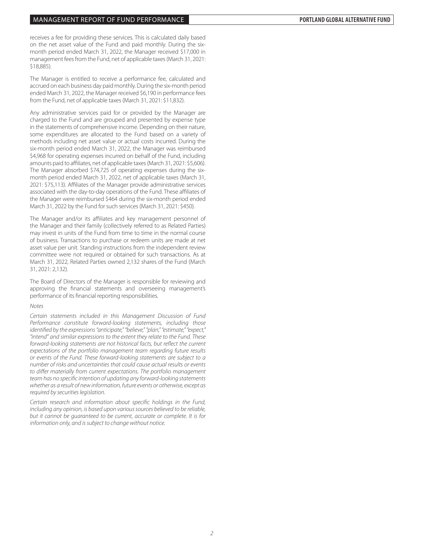receives a fee for providing these services. This is calculated daily based on the net asset value of the Fund and paid monthly. During the sixmonth period ended March 31, 2022, the Manager received \$17,000 in management fees from the Fund, net of applicable taxes (March 31, 2021: \$18,885).

The Manager is entitled to receive a performance fee, calculated and accrued on each business day paid monthly. During the six-month period ended March 31, 2022, the Manager received \$6,190 in performance fees from the Fund, net of applicable taxes (March 31, 2021: \$11,832).

Any administrative services paid for or provided by the Manager are charged to the Fund and are grouped and presented by expense type in the statements of comprehensive income. Depending on their nature, some expenditures are allocated to the Fund based on a variety of methods including net asset value or actual costs incurred. During the six-month period ended March 31, 2022, the Manager was reimbursed \$4,968 for operating expenses incurred on behalf of the Fund, including amounts paid to affiliates, net of applicable taxes (March 31, 2021: \$5,606). The Manager absorbed \$74,725 of operating expenses during the sixmonth period ended March 31, 2022, net of applicable taxes (March 31, 2021: \$75,113). Affiliates of the Manager provide administrative services associated with the day-to-day operations of the Fund. These affiliates of the Manager were reimbursed \$464 during the six-month period ended March 31, 2022 by the Fund for such services (March 31, 2021: \$450).

The Manager and/or its affiliates and key management personnel of the Manager and their family (collectively referred to as Related Parties) may invest in units of the Fund from time to time in the normal course of business. Transactions to purchase or redeem units are made at net asset value per unit. Standing instructions from the independent review committee were not required or obtained for such transactions. As at March 31, 2022, Related Parties owned 2,132 shares of the Fund (March 31, 2021: 2,132).

The Board of Directors of the Manager is responsible for reviewing and approving the financial statements and overseeing management's performance of its financial reporting responsibilities.

#### *Notes*

*Certain statements included in this Management Discussion of Fund Performance constitute forward-looking statements, including those identified by the expressions "anticipate," "believe," "plan," "estimate," "expect," "intend" and similar expressions to the extent they relate to the Fund. These forward-looking statements are not historical facts, but reflect the current expectations of the portfolio management team regarding future results or events of the Fund. These forward-looking statements are subject to a number of risks and uncertainties that could cause actual results or events to differ materially from current expectations. The portfolio management team has no specific intention of updating any forward-looking statements whether as a result of new information, future events or otherwise, except as required by securities legislation.*

*Certain research and information about specific holdings in the Fund, including any opinion, is based upon various sources believed to be reliable, but it cannot be guaranteed to be current, accurate or complete. It is for information only, and is subject to change without notice.*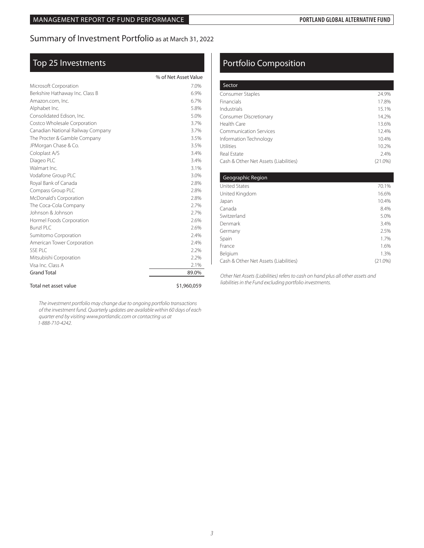# Summary of Investment Portfolio as at March 31, 2022

# Top 25 Investments

|                                   | % of Net Asset Value |
|-----------------------------------|----------------------|
| Microsoft Corporation             | 7.0%                 |
| Berkshire Hathaway Inc. Class B   | 6.9%                 |
| Amazon.com, Inc.                  | 6.7%                 |
| Alphabet Inc.                     | 5.8%                 |
| Consolidated Edison, Inc.         | 5.0%                 |
| Costco Wholesale Corporation      | 3.7%                 |
| Canadian National Railway Company | 3.7%                 |
| The Procter & Gamble Company      | 3.5%                 |
| JPMorgan Chase & Co.              | 3.5%                 |
| Coloplast A/S                     | 3.4%                 |
| Diageo PLC                        | 3.4%                 |
| Walmart Inc.                      | 3.1%                 |
| Vodafone Group PLC                | 3.0%                 |
| Royal Bank of Canada              | 2.8%                 |
| Compass Group PLC                 | 2.8%                 |
| McDonald's Corporation            | 2.8%                 |
| The Coca-Cola Company             | 2.7%                 |
| Johnson & Johnson                 | 2.7%                 |
| Hormel Foods Corporation          | 2.6%                 |
| Bunzl PLC                         | 2.6%                 |
| Sumitomo Corporation              | 2.4%                 |
| American Tower Corporation        | 2.4%                 |
| SSE PLC                           | 2.2%                 |
| Mitsubishi Corporation            | 2.2%                 |
| Visa Inc. Class A                 | 2.1%                 |
| <b>Grand Total</b>                | 89.0%                |
| Total net asset value             | \$1,960,059          |

#### *The investment portfolio may change due to ongoing portfolio transactions of the investment fund. Quarterly updates are available within 60 days of each quarter end by visiting www.portlandic.com or contacting us at 1-888-710-4242.*

# Portfolio Composition

| Sector                                |            |
|---------------------------------------|------------|
| Consumer Staples                      | 24.9%      |
| Financials                            | 17.8%      |
| Industrials                           | 15.1%      |
| <b>Consumer Discretionary</b>         | 14.2%      |
| Health Care                           | 13.6%      |
| Communication Services                | 12.4%      |
| Information Technology                | 10.4%      |
| Utilities                             | 10.2%      |
| Real Estate                           | 2.4%       |
| Cash & Other Net Assets (Liabilities) | $(21.0\%)$ |

| Geographic Region                     |            |
|---------------------------------------|------------|
| <b>United States</b>                  | 70.1%      |
| United Kingdom                        | 16.6%      |
| Japan                                 | 10.4%      |
| Canada                                | 8.4%       |
| Switzerland                           | 5.0%       |
| Denmark                               | 3.4%       |
| Germany                               | 2.5%       |
| Spain                                 | 1.7%       |
| France                                | 1.6%       |
| Belgium                               | 1.3%       |
| Cash & Other Net Assets (Liabilities) | $(21.0\%)$ |

*Other Net Assets (Liabilities) refers to cash on hand plus all other assets and liabilities in the Fund excluding portfolio investments.*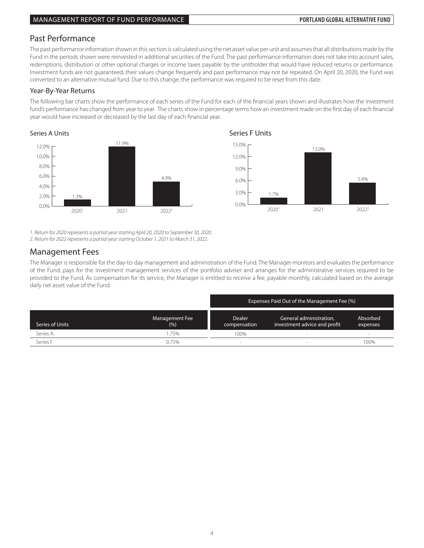# Past Performance

The past performance information shown in this section is calculated using the net asset value per unit and assumes that all distributions made by the Fund in the periods shown were reinvested in additional securities of the Fund. The past performance information does not take into account sales, 4.0% redemptions, distribution or other optional charges or income taxes payable by the unitholder that would have reduced returns or performance. Investment funds are not guaranteed, their values change frequently and past performance may not be repeated. On April 20, 2020, the Fund was linvestment funds are not guaranteed, their values change frequently and past pe converted to an alternative mutual fund. Due to this change, the performance was required to be reset from this date.

### Year-By-Year Returns

The following bar charts show the performance of each series of the Fund for each of the financial years shown and illustrates how the investment fund's performance has changed from year to year. The charts show in percentage terms how an investment made on the first day of each financial year would have increased or decreased by the last day of each financial year.

### Series A Units **Series A Units** Series F Units



20201 1.7% 2021 13.0% 20222 5.4% 0.0% 3.0% 6.0% 9.0% 12.0% 15.0%

*1. Return for 2020 represents a partial year starting April 20, 2020 to September 30, 2020.*

*2. Return for 2022 represents a partial year starting October 1, 2021 to March 31, 2022.*

# Management Fees

of the rund, pays for the investment management services of the portiono adviser and analiges for the administrative services required to be<br>provided to the Fund. As compensation for its service, the Manager is entitled to daily net asset value of the Fund. The Manager is responsible for the day-to-day management and administration of the Fund. The Manager monitors and evaluates the performance of the Fund, pays for the investment management services of the portfolio adviser and arranges for the administrative services required to be

|                 |                       | Expenses Paid Out of the Management Fee (%) |                                                         |                      |  |  |
|-----------------|-----------------------|---------------------------------------------|---------------------------------------------------------|----------------------|--|--|
| Series of Units | Management Fee<br>(%) | <b>Dealer</b><br>compensation               | General administration,<br>investment advice and profit | Absorbed<br>expenses |  |  |
| Series A        | 1.75%                 | 100%                                        |                                                         | $\sim$               |  |  |
| Series F        | 0.75%                 | ۰                                           |                                                         | 100%                 |  |  |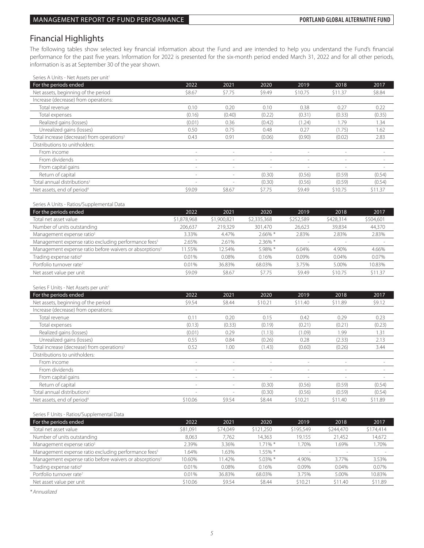# Financial Highlights

The following tables show selected key financial information about the Fund and are intended to help you understand the Fund's financial performance for the past five years. Information for 2022 is presented for the six-month period ended March 31, 2022 and for all other periods, information is as at September 30 of the year shown.

Series A Units - Net Assets per unit<sup>1</sup>

| For the periods ended                                  | 2022                     | 2021                     | 2020                     | 2019                     | 2018    | 2017    |
|--------------------------------------------------------|--------------------------|--------------------------|--------------------------|--------------------------|---------|---------|
| Net assets, beginning of the period                    | \$8.67                   | \$7.75                   | \$9.49                   | \$10.75                  | \$11.37 | \$8.84  |
| Increase (decrease) from operations:                   |                          |                          |                          |                          |         |         |
| Total revenue                                          | 0.10                     | 0.20                     | 0.10                     | 0.38                     | 0.27    | 0.22    |
| Total expenses                                         | (0.16)                   | (0.40)                   | (0.22)                   | (0.31)                   | (0.33)  | (0.35)  |
| Realized gains (losses)                                | (0.01)                   | 0.36                     | (0.42)                   | (1.24)                   | 1.79    | 1.34    |
| Unrealized gains (losses)                              | 0.50                     | 0.75                     | 0.48                     | 0.27                     | (1.75)  | 1.62    |
| Total increase (decrease) from operations <sup>2</sup> | 0.43                     | 0.91                     | (0.06)                   | (0.90)                   | (0.02)  | 2.83    |
| Distributions to unitholders:                          |                          |                          |                          |                          |         |         |
| From income                                            | $\sim$                   |                          | $\sim$                   | ۰                        |         |         |
| From dividends                                         | $\sim$                   | $\overline{\phantom{a}}$ | $\overline{\phantom{a}}$ | $\overline{\phantom{a}}$ | $\sim$  | $\,$    |
| From capital gains                                     | $\overline{\phantom{a}}$ | $\overline{\phantom{a}}$ | $\overline{\phantom{a}}$ | $\sim$                   | $\sim$  |         |
| Return of capital                                      | $\overline{\phantom{a}}$ |                          | (0.30)                   | (0.56)                   | (0.59)  | (0.54)  |
| Total annual distributions <sup>3</sup>                | $\sim$                   |                          | (0.30)                   | (0.56)                   | (0.59)  | (0.54)  |
| Net assets, end of period <sup>4</sup>                 | \$9.09                   | \$8.67                   | \$7.75                   | \$9.49                   | \$10.75 | \$11.37 |

Series A Units - Ratios/Supplemental Data

| For the periods ended                                               | 2022        | 2021        | 2020        | 2019      | 2018      | 2017      |
|---------------------------------------------------------------------|-------------|-------------|-------------|-----------|-----------|-----------|
| Total net asset value                                               | \$1,878,968 | \$1,900,821 | \$2,335,368 | \$252,589 | \$428.314 | \$504,601 |
| Number of units outstanding                                         | 206.637     | 219,329     | 301.470     | 26.623    | 39.834    | 44,370    |
| Management expense ratio <sup>5</sup>                               | 3.33%       | 4.47%       | $2.66\%$ *  | 2.83%     | 2.83%     | 2.83%     |
| Management expense ratio excluding performance fees <sup>5</sup>    | 2.65%       | 2.61%       | $2.36\%$ *  |           |           |           |
| Management expense ratio before waivers or absorptions <sup>5</sup> | 1.55%       | 12.54%      | 5.98% *     | 6.04%     | 4.90%     | 4.66%     |
| Trading expense ratio <sup>6</sup>                                  | 0.01%       | 0.08%       | 0.16%       | 0.09%     | 0.04%     | 0.07%     |
| Portfolio turnover rate <sup>7</sup>                                | 0.01%       | 36.83%      | 68.03%      | 3.75%     | 5.00%     | 10.83%    |
| Net asset value per unit                                            | \$9.09      | \$8.67      | \$7.75      | \$9.49    | \$10.75   | \$11.37   |

#### Series F Units - Net Assets per unit<sup>1</sup>

| For the periods ended                                  | 2022                     | 2021                     | 2020                     | 2019                     | 2018                     | 2017                     |
|--------------------------------------------------------|--------------------------|--------------------------|--------------------------|--------------------------|--------------------------|--------------------------|
| Net assets, beginning of the period                    | \$9.54                   | \$8.44                   | \$10.21                  | \$11.40                  | \$11.89                  | \$9.12                   |
| Increase (decrease) from operations:                   |                          |                          |                          |                          |                          |                          |
| Total revenue                                          | 0.11                     | 0.20                     | 0.15                     | 0.42                     | 0.29                     | 0.23                     |
| Total expenses                                         | (0.13)                   | (0.33)                   | (0.19)                   | (0.21)                   | (0.21)                   | (0.23)                   |
| Realized gains (losses)                                | (0.01)                   | 0.29                     | (1.13)                   | (1.09)                   | 1.99                     | 1.31                     |
| Unrealized gains (losses)                              | 0.55                     | 0.84                     | (0.26)                   | 0.28                     | (2.33)                   | 2.13                     |
| Total increase (decrease) from operations <sup>2</sup> | 0.52                     | 1.00                     | (1.43)                   | (0.60)                   | (0.26)                   | 3.44                     |
| Distributions to unitholders:                          |                          |                          |                          |                          |                          |                          |
| From income                                            | $\overline{\phantom{a}}$ | $\sim$                   | $\sim$                   | $\sim$                   | $\sim$                   |                          |
| From dividends                                         | $\overline{\phantom{a}}$ | $\overline{\phantom{a}}$ | $\overline{\phantom{a}}$ | $\overline{\phantom{a}}$ | $\overline{\phantom{a}}$ | $\overline{\phantom{a}}$ |
| From capital gains                                     | $\overline{\phantom{a}}$ | $\overline{\phantom{a}}$ | $\overline{\phantom{a}}$ | $\sim$                   | $\sim$                   |                          |
| Return of capital                                      | $\overline{\phantom{a}}$ | $\sim$                   | (0.30)                   | (0.56)                   | (0.59)                   | (0.54)                   |
| Total annual distributions <sup>3</sup>                | $\sim$                   |                          | (0.30)                   | (0.56)                   | (0.59)                   | (0.54)                   |
| Net assets, end of period <sup>4</sup>                 | \$10.06                  | \$9.54                   | \$8.44                   | \$10.21                  | \$11.40                  | \$11.89                  |

Series F Units - Ratios/Supplemental Data

| For the periods ended                                               | 2022     | 2021     | 2020       | 2019      | 2018           | 2017      |
|---------------------------------------------------------------------|----------|----------|------------|-----------|----------------|-----------|
| Total net asset value                                               | \$81,091 | \$74,049 | \$121.250  | \$195.549 | \$244.470      | \$174,414 |
| Number of units outstanding                                         | 8.063    | 7.762    | 14.363     | 19,155    | 21.452         | 14,672    |
| Management expense ratio <sup>5</sup>                               | 2.39%    | 3.36%    | $1.71\%$ * | 1.70%     | 1.69%          | .70%      |
| Management expense ratio excluding performance fees <sup>5</sup>    | 1.64%    | .63%     | $1.55\%$ * | $\sim$    | <b>Section</b> |           |
| Management expense ratio before waivers or absorptions <sup>5</sup> | 10.60%   | 11.42%   | $5.03\%$ * | 4.90%     | 3.77%          | 3.53%     |
| Trading expense ratio <sup>6</sup>                                  | 0.01%    | 0.08%    | 0.16%      | 0.09%     | 0.04%          | 0.07%     |
| Portfolio turnover rate <sup>7</sup>                                | 0.01%    | 36.83%   | 68.03%     | 3.75%     | 5.00%          | 10.83%    |
| Net asset value per unit                                            | \$10.06  | \$9.54   | \$8.44     | \$10.21   | \$11.40        | \$11.89   |

*\* Annualized*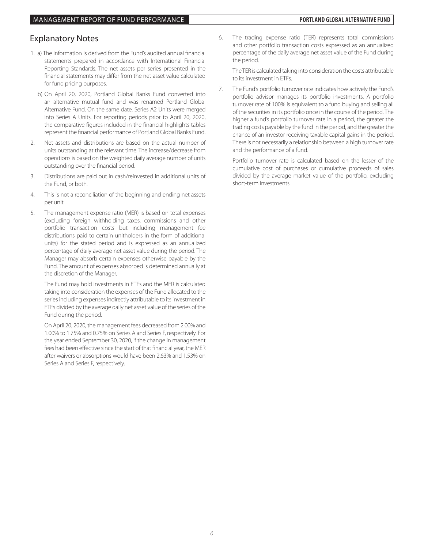# Explanatory Notes

- 1. a) The information is derived from the Fund's audited annual financial statements prepared in accordance with International Financial Reporting Standards. The net assets per series presented in the financial statements may differ from the net asset value calculated for fund pricing purposes.
	- b) On April 20, 2020, Portland Global Banks Fund converted into an alternative mutual fund and was renamed Portland Global Alternative Fund. On the same date, Series A2 Units were merged into Series A Units. For reporting periods prior to April 20, 2020, the comparative figures included in the financial highlights tables represent the financial performance of Portland Global Banks Fund.
- 2. Net assets and distributions are based on the actual number of units outstanding at the relevant time. The increase/decrease from operations is based on the weighted daily average number of units outstanding over the financial period.
- 3. Distributions are paid out in cash/reinvested in additional units of the Fund, or both.
- 4. This is not a reconciliation of the beginning and ending net assets per unit.
- 5. The management expense ratio (MER) is based on total expenses (excluding foreign withholding taxes, commissions and other portfolio transaction costs but including management fee distributions paid to certain unitholders in the form of additional units) for the stated period and is expressed as an annualized percentage of daily average net asset value during the period. The Manager may absorb certain expenses otherwise payable by the Fund. The amount of expenses absorbed is determined annually at the discretion of the Manager.

 The Fund may hold investments in ETFs and the MER is calculated taking into consideration the expenses of the Fund allocated to the series including expenses indirectly attributable to its investment in ETFs divided by the average daily net asset value of the series of the Fund during the period.

 On April 20, 2020, the management fees decreased from 2.00% and 1.00% to 1.75% and 0.75% on Series A and Series F, respectively. For the year ended September 30, 2020, if the change in management fees had been effective since the start of that financial year, the MER after waivers or absorptions would have been 2.63% and 1.53% on Series A and Series F, respectively.

6. The trading expense ratio (TER) represents total commissions and other portfolio transaction costs expressed as an annualized percentage of the daily average net asset value of the Fund during the period.

 The TER is calculated taking into consideration the costs attributable to its investment in ETFs.

7. The Fund's portfolio turnover rate indicates how actively the Fund's portfolio advisor manages its portfolio investments. A portfolio turnover rate of 100% is equivalent to a fund buying and selling all of the securities in its portfolio once in the course of the period. The higher a fund's portfolio turnover rate in a period, the greater the trading costs payable by the fund in the period, and the greater the chance of an investor receiving taxable capital gains in the period. There is not necessarily a relationship between a high turnover rate and the performance of a fund.

 Portfolio turnover rate is calculated based on the lesser of the cumulative cost of purchases or cumulative proceeds of sales divided by the average market value of the portfolio, excluding short-term investments.